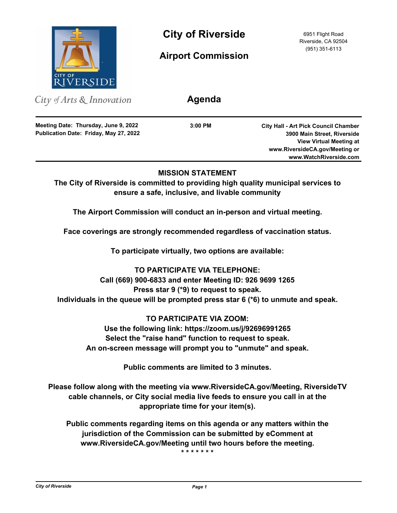

**City of Riverside** 6951 Flight Road

**Airport Commission**

Riverside, CA 92504 (951) 351-6113

City of Arts & Innovation

**Publication Date: Friday, May 27, 2022 Meeting Date: Thursday, June 9, 2022**

**3:00 PM**

**Agenda**

**City Hall - Art Pick Council Chamber 3900 Main Street, Riverside View Virtual Meeting at www.RiversideCA.gov/Meeting or www.WatchRiverside.com**

# **MISSION STATEMENT**

**The City of Riverside is committed to providing high quality municipal services to ensure a safe, inclusive, and livable community**

**The Airport Commission will conduct an in-person and virtual meeting.**

**Face coverings are strongly recommended regardless of vaccination status.**

**To participate virtually, two options are available:** 

**TO PARTICIPATE VIA TELEPHONE: Call (669) 900-6833 and enter Meeting ID: 926 9699 1265 Press star 9 (\*9) to request to speak. Individuals in the queue will be prompted press star 6 (\*6) to unmute and speak.**

**TO PARTICIPATE VIA ZOOM: Use the following link: https://zoom.us/j/92696991265 Select the "raise hand" function to request to speak. An on-screen message will prompt you to "unmute" and speak.**

**Public comments are limited to 3 minutes.**

**Please follow along with the meeting via www.RiversideCA.gov/Meeting, RiversideTV cable channels, or City social media live feeds to ensure you call in at the appropriate time for your item(s).**

**Public comments regarding items on this agenda or any matters within the jurisdiction of the Commission can be submitted by eComment at www.RiversideCA.gov/Meeting until two hours before the meeting.**

**\* \* \* \* \* \* \***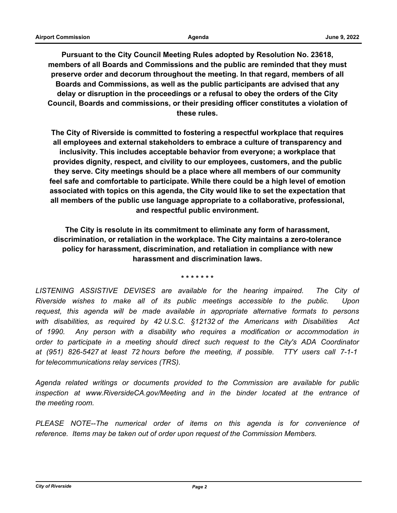**Pursuant to the City Council Meeting Rules adopted by Resolution No. 23618, members of all Boards and Commissions and the public are reminded that they must preserve order and decorum throughout the meeting. In that regard, members of all Boards and Commissions, as well as the public participants are advised that any delay or disruption in the proceedings or a refusal to obey the orders of the City Council, Boards and commissions, or their presiding officer constitutes a violation of these rules.**

**The City of Riverside is committed to fostering a respectful workplace that requires all employees and external stakeholders to embrace a culture of transparency and inclusivity. This includes acceptable behavior from everyone; a workplace that provides dignity, respect, and civility to our employees, customers, and the public they serve. City meetings should be a place where all members of our community feel safe and comfortable to participate. While there could be a high level of emotion associated with topics on this agenda, the City would like to set the expectation that all members of the public use language appropriate to a collaborative, professional, and respectful public environment.**

**The City is resolute in its commitment to eliminate any form of harassment, discrimination, or retaliation in the workplace. The City maintains a zero-tolerance policy for harassment, discrimination, and retaliation in compliance with new harassment and discrimination laws.**

**\* \* \* \* \* \* \***

LISTENING ASSISTIVE DEVISES are available for the hearing impaired. The City of *Riverside wishes to make all of its public meetings accessible to the public. Upon request, this agenda will be made available in appropriate alternative formats to persons with disabilities, as required by 42 U.S.C. §12132 of the Americans with Disabilities Act of 1990. Any person with a disability who requires a modification or accommodation in order to participate in a meeting should direct such request to the City's ADA Coordinator at (951) 826-5427 at least 72 hours before the meeting, if possible. TTY users call 7-1-1 for telecommunications relay services (TRS).*

*Agenda related writings or documents provided to the Commission are available for public inspection at www.RiversideCA.gov/Meeting and in the binder located at the entrance of the meeting room.*

*PLEASE NOTE--The numerical order of items on this agenda is for convenience of reference. Items may be taken out of order upon request of the Commission Members.*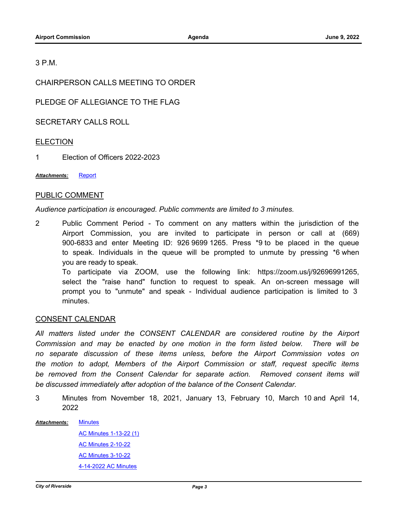## 3 P.M.

CHAIRPERSON CALLS MEETING TO ORDER

PLEDGE OF ALLEGIANCE TO THE FLAG

SECRETARY CALLS ROLL

## ELECTION

1 Election of Officers 2022-2023

*Attachments:* [Report](http://riversideca.legistar.com/gateway.aspx?M=F&ID=776ec0d4-b00a-4f82-a9ba-2fa9b0d9c1ec.docx)

# PUBLIC COMMENT

*Audience participation is encouraged. Public comments are limited to 3 minutes.*

2 Public Comment Period - To comment on any matters within the jurisdiction of the Airport Commission, you are invited to participate in person or call at (669) 900-6833 and enter Meeting ID: 926 9699 1265. Press \*9 to be placed in the queue to speak. Individuals in the queue will be prompted to unmute by pressing \*6 when you are ready to speak. To participate via ZOOM, use the following link: https://zoom.us/j/92696991265, select the "raise hand" function to request to speak. An on-screen message will

prompt you to "unmute" and speak - Individual audience participation is limited to 3 minutes.

#### CONSENT CALENDAR

All matters listed under the CONSENT CALENDAR are considered routine by the Airport *Commission and may be enacted by one motion in the form listed below. There will be no separate discussion of these items unless, before the Airport Commission votes on the motion to adopt, Members of the Airport Commission or staff, request specific items*  be removed from the Consent Calendar for separate action. Removed consent items will *be discussed immediately after adoption of the balance of the Consent Calendar.*

3 Minutes from November 18, 2021, January 13, February 10, March 10 and April 14, 2022

**[Minutes](http://riversideca.legistar.com/gateway.aspx?M=F&ID=273e3bd1-008e-4a34-bb71-c69f65afb63a.docx)** [AC Minutes 1-13-22 \(1\)](http://riversideca.legistar.com/gateway.aspx?M=F&ID=15e0b8f9-6b8d-42e3-b20e-41247e83811d.pdf) [AC Minutes 2-10-22](http://riversideca.legistar.com/gateway.aspx?M=F&ID=f1d49c42-f6e3-4cb1-a93b-36c000370a52.pdf) [AC Minutes 3-10-22](http://riversideca.legistar.com/gateway.aspx?M=F&ID=ada56704-cbdc-4ed6-a4eb-f9ad7c9d03a0.pdf) [4-14-2022 AC Minutes](http://riversideca.legistar.com/gateway.aspx?M=F&ID=7bbb56ff-fb7f-471c-9221-f80dc36f5039.docx) *Attachments:*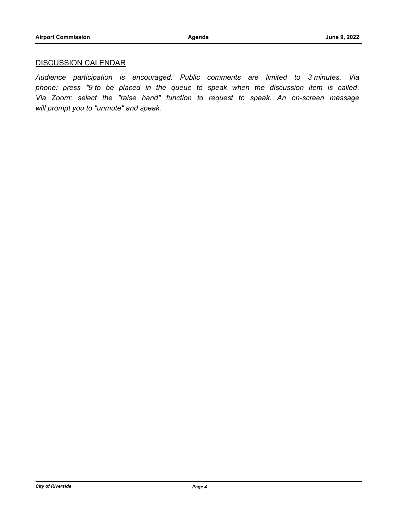# DISCUSSION CALENDAR

*Audience participation is encouraged. Public comments are limited to 3 minutes. Via phone: press \*9 to be placed in the queue to speak when the discussion item is called. Via Zoom: select the "raise hand" function to request to speak. An on-screen message will prompt you to "unmute" and speak.*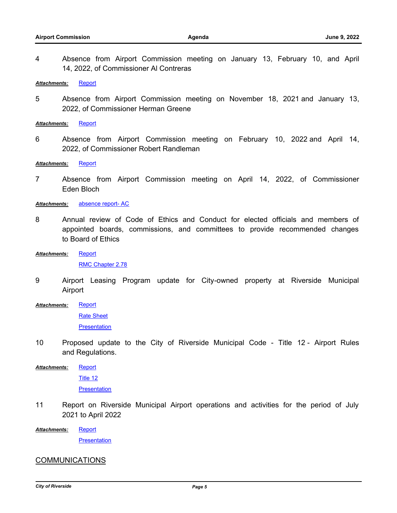4 Absence from Airport Commission meeting on January 13, February 10, and April 14, 2022, of Commissioner Al Contreras

*Attachments:* [Report](http://riversideca.legistar.com/gateway.aspx?M=F&ID=8b5402bc-58f8-41d3-ab43-8371a0954716.docx)

5 Absence from Airport Commission meeting on November 18, 2021 and January 13, 2022, of Commissioner Herman Greene

*Attachments:* [Report](http://riversideca.legistar.com/gateway.aspx?M=F&ID=4e31d293-515d-4f6e-a7e1-b912b07f34fe.docx)

6 Absence from Airport Commission meeting on February 10, 2022 and April 14, 2022, of Commissioner Robert Randleman

*Attachments:* [Report](http://riversideca.legistar.com/gateway.aspx?M=F&ID=a190b265-92d0-43e7-a84c-045d9bc9a464.docx)

7 Absence from Airport Commission meeting on April 14, 2022, of Commissioner Eden Bloch

*Attachments:* [absence report- AC](http://riversideca.legistar.com/gateway.aspx?M=F&ID=449d5a74-aa67-4393-bed5-771c2a762271.docx)

- 8 Annual review of Code of Ethics and Conduct for elected officials and members of appointed boards, commissions, and committees to provide recommended changes to Board of Ethics
- [Report](http://riversideca.legistar.com/gateway.aspx?M=F&ID=1d3bfaf5-b009-485c-93a6-36a3e30c8ca0.docx) *Attachments:*

[RMC Chapter 2.78](http://riversideca.legistar.com/gateway.aspx?M=F&ID=d51ef85f-9067-419f-a69b-95cf5534fc3c.pdf)

9 Airport Leasing Program update for City-owned property at Riverside Municipal Airport

**[Report](http://riversideca.legistar.com/gateway.aspx?M=F&ID=01cd0557-82cd-4af1-9f5c-07a825fa819f.docx)** *Attachments:*

[Rate Sheet](http://riversideca.legistar.com/gateway.aspx?M=F&ID=052cbfb1-da56-4d2d-9e46-91cc8a76889d.docx)

**[Presentation](http://riversideca.legistar.com/gateway.aspx?M=F&ID=6c2337e7-be72-4c49-8fb1-c75db53dc97a.pdf)** 

10 Proposed update to the City of Riverside Municipal Code - Title 12 - Airport Rules and Regulations.

[Report](http://riversideca.legistar.com/gateway.aspx?M=F&ID=7d10e24b-fec4-4dd4-8b22-312652aa1de7.docx) *Attachments:*

[Title 12](http://riversideca.legistar.com/gateway.aspx?M=F&ID=ae8c829d-8049-4262-be53-e036272c83a2.doc)

**[Presentation](http://riversideca.legistar.com/gateway.aspx?M=F&ID=759c9f3f-323a-446c-b690-23f63060ad60.pdf)** 

11 Report on Riverside Municipal Airport operations and activities for the period of July 2021 to April 2022

**[Report](http://riversideca.legistar.com/gateway.aspx?M=F&ID=ccc0aac2-2a51-4beb-b6f5-517927de759b.docx)** *Attachments:*

**[Presentation](http://riversideca.legistar.com/gateway.aspx?M=F&ID=508463c6-fcfd-4466-914c-0a577853b27a.pdf)** 

#### COMMUNICATIONS